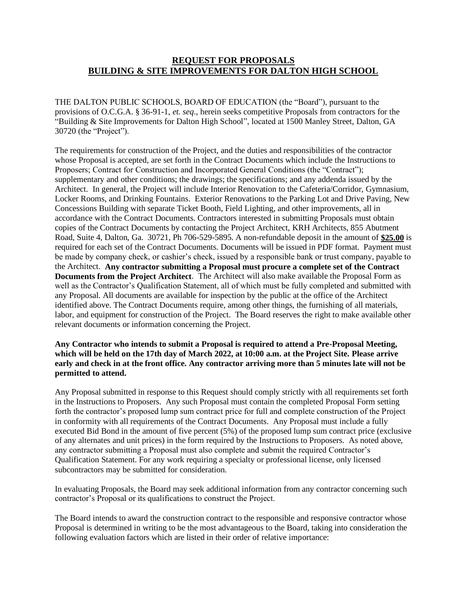## **REQUEST FOR PROPOSALS BUILDING & SITE IMPROVEMENTS FOR DALTON HIGH SCHOOL**

THE DALTON PUBLIC SCHOOLS, BOARD OF EDUCATION (the "Board"), pursuant to the provisions of O.C.G.A. § 36-91-1, *et. seq*., herein seeks competitive Proposals from contractors for the "Building & Site Improvements for Dalton High School", located at 1500 Manley Street, Dalton, GA 30720 (the "Project").

The requirements for construction of the Project, and the duties and responsibilities of the contractor whose Proposal is accepted, are set forth in the Contract Documents which include the Instructions to Proposers; Contract for Construction and Incorporated General Conditions (the "Contract"); supplementary and other conditions; the drawings; the specifications; and any addenda issued by the Architect. In general, the Project will include Interior Renovation to the Cafeteria/Corridor, Gymnasium, Locker Rooms, and Drinking Fountains. Exterior Renovations to the Parking Lot and Drive Paving, New Concessions Building with separate Ticket Booth, Field Lighting, and other improvements, all in accordance with the Contract Documents. Contractors interested in submitting Proposals must obtain copies of the Contract Documents by contacting the Project Architect, KRH Architects, 855 Abutment Road, Suite 4, Dalton, Ga. 30721, Ph 706-529-5895. A non-refundable deposit in the amount of **\$25.00** is required for each set of the Contract Documents. Documents will be issued in PDF format. Payment must be made by company check, or cashier's check, issued by a responsible bank or trust company, payable to the Architect. **Any contractor submitting a Proposal must procure a complete set of the Contract Documents from the Project Architect**. The Architect will also make available the Proposal Form as well as the Contractor's Qualification Statement, all of which must be fully completed and submitted with any Proposal. All documents are available for inspection by the public at the office of the Architect identified above. The Contract Documents require, among other things, the furnishing of all materials, labor, and equipment for construction of the Project. The Board reserves the right to make available other relevant documents or information concerning the Project.

## **Any Contractor who intends to submit a Proposal is required to attend a Pre-Proposal Meeting, which will be held on the 17th day of March 2022, at 10:00 a.m. at the Project Site. Please arrive early and check in at the front office. Any contractor arriving more than 5 minutes late will not be permitted to attend.**

Any Proposal submitted in response to this Request should comply strictly with all requirements set forth in the Instructions to Proposers. Any such Proposal must contain the completed Proposal Form setting forth the contractor's proposed lump sum contract price for full and complete construction of the Project in conformity with all requirements of the Contract Documents. Any Proposal must include a fully executed Bid Bond in the amount of five percent (5%) of the proposed lump sum contract price (exclusive of any alternates and unit prices) in the form required by the Instructions to Proposers. As noted above, any contractor submitting a Proposal must also complete and submit the required Contractor's Qualification Statement. For any work requiring a specialty or professional license, only licensed subcontractors may be submitted for consideration.

In evaluating Proposals, the Board may seek additional information from any contractor concerning such contractor's Proposal or its qualifications to construct the Project.

The Board intends to award the construction contract to the responsible and responsive contractor whose Proposal is determined in writing to be the most advantageous to the Board, taking into consideration the following evaluation factors which are listed in their order of relative importance: